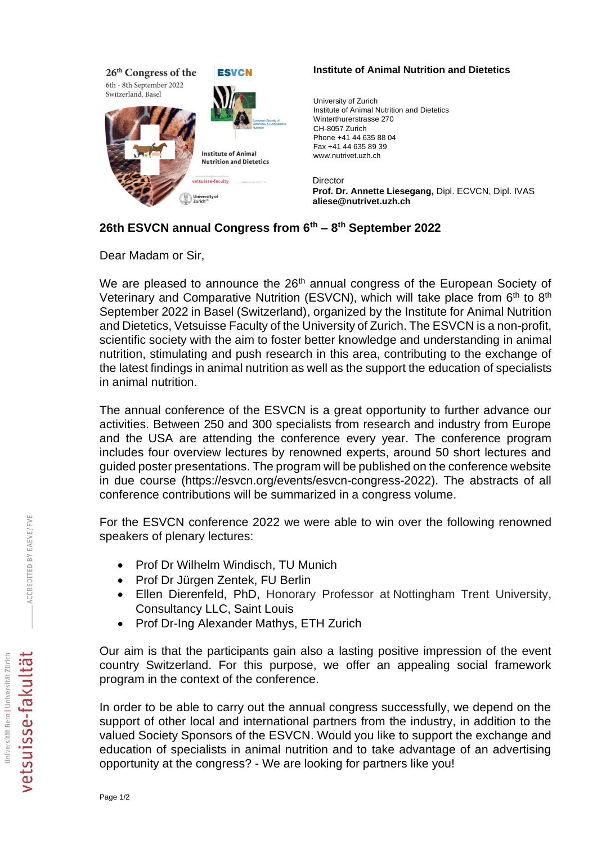

## **Institute of Animal Nutrition and Dietetics**

University of Zurich Institute of Animal Nutrition and Dietetics Winterthurerstrasse 270 CH-8057 Zurich Phone +41 44 635 88 04 Fax +41 44 635 89 39 www.nutrivet.uzh.ch

Director **Prof. Dr. Annette Liesegang,** Dipl. ECVCN, Dipl. IVAS **aliese@nutrivet.uzh.ch**

## **26th ESVCN annual Congress from 6th – 8 th September 2022**

Dear Madam or Sir,

We are pleased to announce the 26<sup>th</sup> annual congress of the European Society of Veterinary and Comparative Nutrition (ESVCN), which will take place from 6<sup>th</sup> to 8<sup>th</sup> September 2022 in Basel (Switzerland), organized by the Institute for Animal Nutrition and Dietetics, Vetsuisse Faculty of the University of Zurich. The ESVCN is a non-profit, scientific society with the aim to foster better knowledge and understanding in animal nutrition, stimulating and push research in this area, contributing to the exchange of the latest findings in animal nutrition as well as the support the education of specialists in animal nutrition.

The annual conference of the ESVCN is a great opportunity to further advance our activities. Between 250 and 300 specialists from research and industry from Europe and the USA are attending the conference every year. The conference program includes four overview lectures by renowned experts, around 50 short lectures and guided poster presentations. The program will be published on the conference website in due course (https://esvcn.org/events/esvcn-congress-2022). The abstracts of all conference contributions will be summarized in a congress volume.

For the ESVCN conference 2022 we were able to win over the following renowned speakers of plenary lectures:

- Prof Dr Wilhelm Windisch, TU Munich
- Prof Dr Jürgen Zentek, FU Berlin
- Ellen Dierenfeld, PhD, Honorary Professor at [Nottingham Trent University,](https://scholar.google.com/citations?view_op=view_org&hl=en&org=7627954111443315905) Consultancy LLC, Saint Louis
- Prof Dr-Ing Alexander Mathys, ETH Zurich

Our aim is that the participants gain also a lasting positive impression of the event country Switzerland. For this purpose, we offer an appealing social framework program in the context of the conference.

In order to be able to carry out the annual congress successfully, we depend on the support of other local and international partners from the industry, in addition to the valued Society Sponsors of the ESVCN. Would you like to support the exchange and education of specialists in animal nutrition and to take advantage of an advertising opportunity at the congress? - We are looking for partners like you!